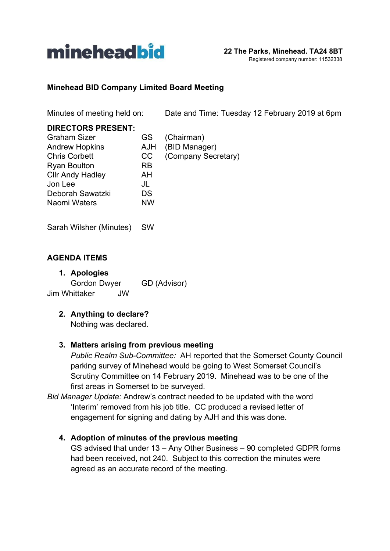

#### **Minehead BID Company Limited Board Meeting**

Minutes of meeting held on: Date and Time: Tuesday 12 February 2019 at 6pm

| <b>DIRECTORS PRESENT:</b> |           |                     |
|---------------------------|-----------|---------------------|
| <b>Graham Sizer</b>       | GS.       | (Chairman)          |
| <b>Andrew Hopkins</b>     | AJH       | (BID Manager)       |
| <b>Chris Corbett</b>      | CC        | (Company Secretary) |
| <b>Ryan Boulton</b>       | <b>RB</b> |                     |
| <b>Cllr Andy Hadley</b>   | AH        |                     |
| Jon Lee                   | JL        |                     |
| Deborah Sawatzki          | DS        |                     |
| Naomi Waters              | <b>NW</b> |                     |
|                           |           |                     |

Sarah Wilsher (Minutes) SW

#### **AGENDA ITEMS**

**1. Apologies** Gordon Dwyer GD (Advisor) Jim Whittaker JW

# **2. Anything to declare?**

Nothing was declared.

#### **3. Matters arising from previous meeting**

*Public Realm Sub-Committee:* AH reported that the Somerset County Council parking survey of Minehead would be going to West Somerset Council's Scrutiny Committee on 14 February 2019. Minehead was to be one of the first areas in Somerset to be surveyed.

*Bid Manager Update:* Andrew's contract needed to be updated with the word 'Interim' removed from his job title. CC produced a revised letter of engagement for signing and dating by AJH and this was done.

#### **4. Adoption of minutes of the previous meeting**

GS advised that under 13 – Any Other Business – 90 completed GDPR forms had been received, not 240. Subject to this correction the minutes were agreed as an accurate record of the meeting.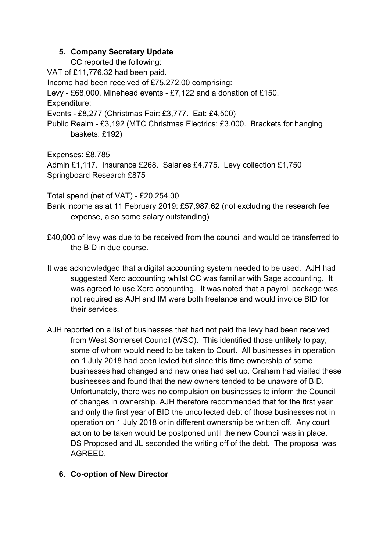# **5. Company Secretary Update**

CC reported the following:

VAT of £11,776.32 had been paid.

Income had been received of £75,272.00 comprising:

Levy - £68,000, Minehead events - £7,122 and a donation of £150.

Expenditure:

Events - £8,277 (Christmas Fair: £3,777. Eat: £4,500)

Public Realm - £3,192 (MTC Christmas Electrics: £3,000. Brackets for hanging baskets: £192)

Expenses: £8,785

Admin £1,117. Insurance £268. Salaries £4,775. Levy collection £1,750 Springboard Research £875

Total spend (net of VAT) - £20,254.00

Bank income as at 11 February 2019: £57,987.62 (not excluding the research fee expense, also some salary outstanding)

- £40,000 of levy was due to be received from the council and would be transferred to the BID in due course.
- It was acknowledged that a digital accounting system needed to be used. AJH had suggested Xero accounting whilst CC was familiar with Sage accounting. It was agreed to use Xero accounting. It was noted that a payroll package was not required as AJH and IM were both freelance and would invoice BID for their services.
- AJH reported on a list of businesses that had not paid the levy had been received from West Somerset Council (WSC). This identified those unlikely to pay, some of whom would need to be taken to Court. All businesses in operation on 1 July 2018 had been levied but since this time ownership of some businesses had changed and new ones had set up. Graham had visited these businesses and found that the new owners tended to be unaware of BID. Unfortunately, there was no compulsion on businesses to inform the Council of changes in ownership. AJH therefore recommended that for the first year and only the first year of BID the uncollected debt of those businesses not in operation on 1 July 2018 or in different ownership be written off. Any court action to be taken would be postponed until the new Council was in place. DS Proposed and JL seconded the writing off of the debt. The proposal was AGREED.

# **6. Co-option of New Director**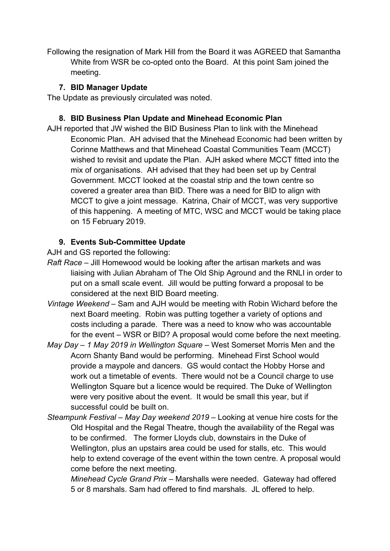Following the resignation of Mark Hill from the Board it was AGREED that Samantha White from WSR be co-opted onto the Board. At this point Sam joined the meeting.

# **7. BID Manager Update**

The Update as previously circulated was noted.

# **8. BID Business Plan Update and Minehead Economic Plan**

AJH reported that JW wished the BID Business Plan to link with the Minehead Economic Plan. AH advised that the Minehead Economic had been written by Corinne Matthews and that Minehead Coastal Communities Team (MCCT) wished to revisit and update the Plan. AJH asked where MCCT fitted into the mix of organisations. AH advised that they had been set up by Central Government. MCCT looked at the coastal strip and the town centre so covered a greater area than BID. There was a need for BID to align with MCCT to give a joint message. Katrina, Chair of MCCT, was very supportive of this happening. A meeting of MTC, WSC and MCCT would be taking place on 15 February 2019.

# **9. Events Sub-Committee Update**

AJH and GS reported the following:

- *Raft Race* Jill Homewood would be looking after the artisan markets and was liaising with Julian Abraham of The Old Ship Aground and the RNLI in order to put on a small scale event. Jill would be putting forward a proposal to be considered at the next BID Board meeting.
- *Vintage Weekend* Sam and AJH would be meeting with Robin Wichard before the next Board meeting. Robin was putting together a variety of options and costs including a parade. There was a need to know who was accountable for the event – WSR or BID? A proposal would come before the next meeting.
- *May Day 1 May 2019 in Wellington Square* West Somerset Morris Men and the Acorn Shanty Band would be performing. Minehead First School would provide a maypole and dancers. GS would contact the Hobby Horse and work out a timetable of events. There would not be a Council charge to use Wellington Square but a licence would be required. The Duke of Wellington were very positive about the event. It would be small this year, but if successful could be built on.
- *Steampunk Festival May Day weekend 2019* Looking at venue hire costs for the Old Hospital and the Regal Theatre, though the availability of the Regal was to be confirmed. The former Lloyds club, downstairs in the Duke of Wellington, plus an upstairs area could be used for stalls, etc. This would help to extend coverage of the event within the town centre. A proposal would come before the next meeting.

*Minehead Cycle Grand Prix –* Marshalls were needed. Gateway had offered 5 or 8 marshals. Sam had offered to find marshals. JL offered to help.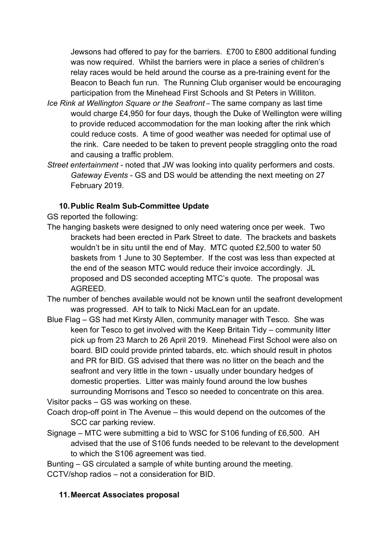Jewsons had offered to pay for the barriers. £700 to £800 additional funding was now required. Whilst the barriers were in place a series of children's relay races would be held around the course as a pre-training event for the Beacon to Beach fun run. The Running Club organiser would be encouraging participation from the Minehead First Schools and St Peters in Williton.

- *Ice Rink at Wellington Square or the Seafront –* The same company as last time would charge £4,950 for four days, though the Duke of Wellington were willing to provide reduced accommodation for the man looking after the rink which could reduce costs. A time of good weather was needed for optimal use of the rink. Care needed to be taken to prevent people straggling onto the road and causing a traffic problem.
- *Street entertainment*  noted that JW was looking into quality performers and costs. *Gateway Events* - GS and DS would be attending the next meeting on 27 February 2019.

# **10.Public Realm Sub-Committee Update**

GS reported the following:

- The hanging baskets were designed to only need watering once per week. Two brackets had been erected in Park Street to date. The brackets and baskets wouldn't be in situ until the end of May. MTC quoted £2,500 to water 50 baskets from 1 June to 30 September. If the cost was less than expected at the end of the season MTC would reduce their invoice accordingly. JL proposed and DS seconded accepting MTC's quote. The proposal was AGREED.
- The number of benches available would not be known until the seafront development was progressed. AH to talk to Nicki MacLean for an update.
- Blue Flag GS had met Kirsty Allen, community manager with Tesco. She was keen for Tesco to get involved with the Keep Britain Tidy – community litter pick up from 23 March to 26 April 2019. Minehead First School were also on board. BID could provide printed tabards, etc. which should result in photos and PR for BID. GS advised that there was no litter on the beach and the seafront and very little in the town - usually under boundary hedges of domestic properties. Litter was mainly found around the low bushes surrounding Morrisons and Tesco so needed to concentrate on this area.

Visitor packs – GS was working on these. Coach drop-off point in The Avenue – this would depend on the outcomes of the

- SCC car parking review.
- Signage MTC were submitting a bid to WSC for S106 funding of £6,500. AH advised that the use of S106 funds needed to be relevant to the development to which the S106 agreement was tied.

Bunting – GS circulated a sample of white bunting around the meeting.

CCTV/shop radios – not a consideration for BID.

# **11.Meercat Associates proposal**